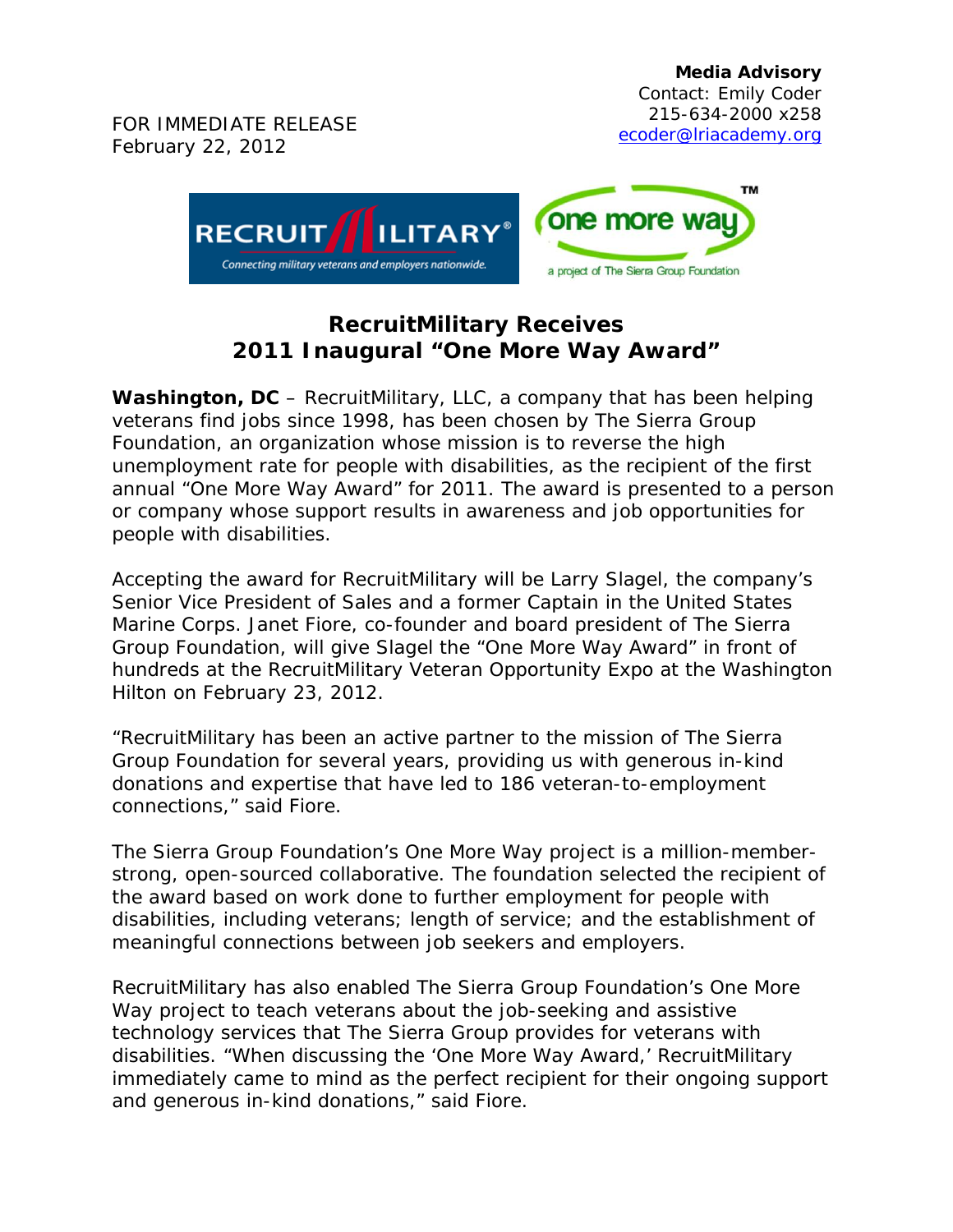

## **RecruitMilitary Receives 2011 Inaugural "One More Way Award"**

**Washington, DC** – RecruitMilitary, LLC, a company that has been helping veterans find jobs since 1998, has been chosen by The Sierra Group Foundation, an organization whose mission is to reverse the high unemployment rate for people with disabilities, as the recipient of the first annual "One More Way Award" for 2011. The award is presented to a person or company whose support results in awareness and job opportunities for people with disabilities.

Accepting the award for RecruitMilitary will be Larry Slagel, the company's Senior Vice President of Sales and a former Captain in the United States Marine Corps. Janet Fiore, co-founder and board president of The Sierra Group Foundation, will give Slagel the "One More Way Award" in front of hundreds at the RecruitMilitary Veteran Opportunity Expo at the Washington Hilton on February 23, 2012.

"RecruitMilitary has been an active partner to the mission of The Sierra Group Foundation for several years, providing us with generous in-kind donations and expertise that have led to 186 veteran-to-employment connections," said Fiore.

The Sierra Group Foundation's *One More Way* project is a million-memberstrong, open-sourced collaborative. The foundation selected the recipient of the award based on work done to further employment for people with disabilities, including veterans; length of service; and the establishment of meaningful connections between job seekers and employers.

RecruitMilitary has also enabled The Sierra Group Foundation's *One More Way* project to teach veterans about the job-seeking and assistive technology services that The Sierra Group provides for veterans with disabilities. "When discussing the 'One More Way Award,' RecruitMilitary immediately came to mind as the perfect recipient for their ongoing support and generous in-kind donations," said Fiore.